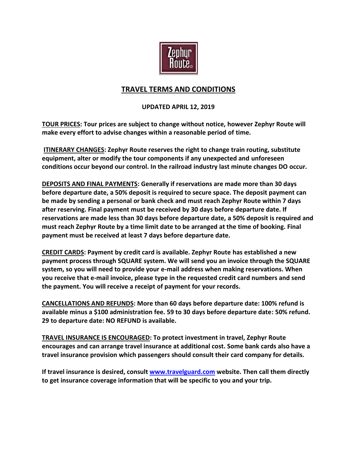

## **TRAVEL TERMS AND CONDITIONS**

## **UPDATED APRIL 12, 2019**

**TOUR PRICES: Tour prices are subject to change without notice, however Zephyr Route will make every effort to advise changes within a reasonable period of time.**

**ITINERARY CHANGES: Zephyr Route reserves the right to change train routing, substitute equipment, alter or modify the tour components if any unexpected and unforeseen conditions occur beyond our control. In the railroad industry last minute changes DO occur.** 

**DEPOSITS AND FINAL PAYMENTS: Generally if reservations are made more than 30 days before departure date, a 50% deposit is required to secure space. The deposit payment can be made by sending a personal or bank check and must reach Zephyr Route within 7 days after reserving. Final payment must be received by 30 days before departure date. If reservations are made less than 30 days before departure date, a 50% deposit is required and must reach Zephyr Route by a time limit date to be arranged at the time of booking. Final payment must be received at least 7 days before departure date.**

**CREDIT CARDS: Payment by credit card is available. Zephyr Route has established a new payment process through SQUARE system. We will send you an invoice through the SQUARE system, so you will need to provide your e-mail address when making reservations. When you receive that e-mail invoice, please type in the requested credit card numbers and send the payment. You will receive a receipt of payment for your records.** 

**CANCELLATIONS AND REFUNDS: More than 60 days before departure date: 100% refund is available minus a \$100 administration fee. 59 to 30 days before departure date: 50% refund. 29 to departure date: NO REFUND is available.** 

**TRAVEL INSURANCE IS ENCOURAGED: To protect investment in travel, Zephyr Route encourages and can arrange travel insurance at additional cost. Some bank cards also have a travel insurance provision which passengers should consult their card company for details.** 

**If travel insurance is desired, consult [www.travelguard.com](http://www.travelguard.com/) website. Then call them directly to get insurance coverage information that will be specific to you and your trip.**